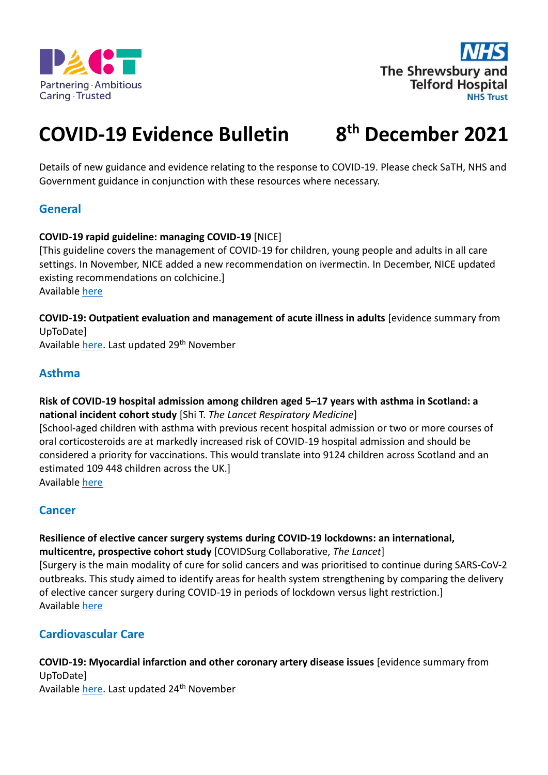



#### **COVID-19 Evidence Bulletin 8 th December 2021**

Details of new guidance and evidence relating to the response to COVID-19. Please check SaTH, NHS and Government guidance in conjunction with these resources where necessary.

### **General**

#### **COVID-19 rapid guideline: managing COVID-19** [NICE]

[This guideline covers the management of COVID-19 for children, young people and adults in all care settings. In November, NICE added a new recommendation on ivermectin. In December, NICE updated existing recommendations on colchicine.] Available [here](https://www.nice.org.uk/guidance/ng191)

**COVID-19: Outpatient evaluation and management of acute illness in adults** [evidence summary from UpToDate]

Available [here.](https://www.uptodate.com/contents/covid-19-outpatient-evaluation-and-management-of-acute-illness-in-adults) Last updated 29<sup>th</sup> November

### **Asthma**

**Risk of COVID-19 hospital admission among children aged 5–17 years with asthma in Scotland: a national incident cohort study** [Shi T. *The Lancet Respiratory Medicine*]

[School-aged children with asthma with previous recent hospital admission or two or more courses of oral corticosteroids are at markedly increased risk of COVID-19 hospital admission and should be considered a priority for vaccinations. This would translate into 9124 children across Scotland and an estimated 109 448 children across the UK.]

Available [here](https://www.thelancet.com/journals/lanres/article/PIIS2213-2600(21)00491-4/fulltext)

### **Cancer**

**Resilience of elective cancer surgery systems during COVID-19 lockdowns: an international, multicentre, prospective cohort study** [COVIDSurg Collaborative, *The Lancet*] [Surgery is the main modality of cure for solid cancers and was prioritised to continue during SARS-CoV-2 outbreaks. This study aimed to identify areas for health system strengthening by comparing the delivery of elective cancer surgery during COVID-19 in periods of lockdown versus light restriction.] Available [here](https://www.thelancet.com/journals/lancet/article/PIIS0140-6736(21)02554-X/fulltext)

### **Cardiovascular Care**

**COVID-19: Myocardial infarction and other coronary artery disease issues** [evidence summary from UpToDate] Available [here.](https://www.uptodate.com/contents/covid-19-myocardial-infarction-and-other-coronary-artery-disease-issues) Last updated 24<sup>th</sup> November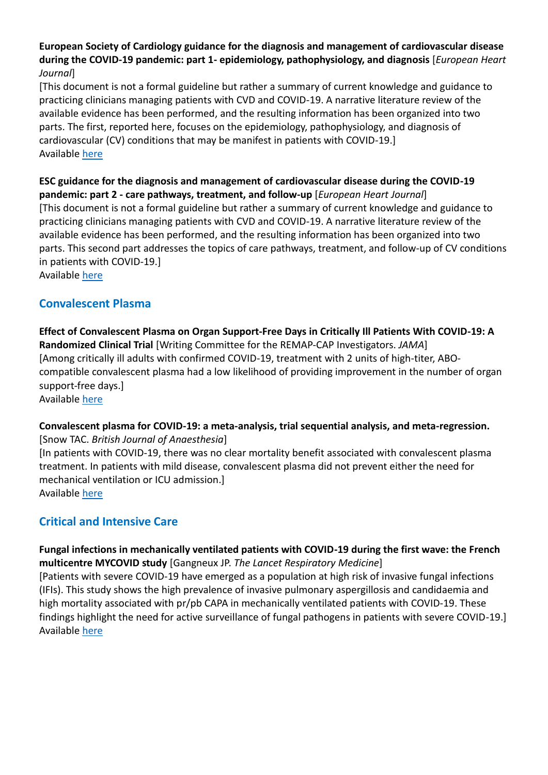#### **European Society of Cardiology guidance for the diagnosis and management of cardiovascular disease during the COVID-19 pandemic: part 1- epidemiology, pathophysiology, and diagnosis** [*European Heart Journal*]

[This document is not a formal guideline but rather a summary of current knowledge and guidance to practicing clinicians managing patients with CVD and COVID-19. A narrative literature review of the available evidence has been performed, and the resulting information has been organized into two parts. The first, reported here, focuses on the epidemiology, pathophysiology, and diagnosis of cardiovascular (CV) conditions that may be manifest in patients with COVID-19.] Available [here](https://academic.oup.com/eurheartj/advance-article/doi/10.1093/eurheartj/ehab696/6429144)

**ESC guidance for the diagnosis and management of cardiovascular disease during the COVID-19 pandemic: part 2 - care pathways, treatment, and follow-up** [*European Heart Journal*] [This document is not a formal guideline but rather a summary of current knowledge and guidance to practicing clinicians managing patients with CVD and COVID-19. A narrative literature review of the available evidence has been performed, and the resulting information has been organized into two parts. This second part addresses the topics of care pathways, treatment, and follow-up of CV conditions in patients with COVID-19.] Available [here](https://academic.oup.com/eurheartj/advance-article/doi/10.1093/eurheartj/ehab697/6429145)

## **Convalescent Plasma**

**Effect of Convalescent Plasma on Organ Support-Free Days in Critically Ill Patients With COVID-19: A Randomized Clinical Trial** [Writing Committee for the REMAP-CAP Investigators. *JAMA*] [Among critically ill adults with confirmed COVID-19, treatment with 2 units of high-titer, ABOcompatible convalescent plasma had a low likelihood of providing improvement in the number of organ support-free days.] Available [here](https://jamanetwork.com/journals/jama/fullarticle/2784914)

#### **Convalescent plasma for COVID-19: a meta-analysis, trial sequential analysis, and meta-regression.** [Snow TAC. *British Journal of Anaesthesia*]

[In patients with COVID-19, there was no clear mortality benefit associated with convalescent plasma treatment. In patients with mild disease, convalescent plasma did not prevent either the need for mechanical ventilation or ICU admission.] Available [here](https://www.sciencedirect.com/science/article/pii/S0007091221005468?via%3Dihub)

# **Critical and Intensive Care**

**Fungal infections in mechanically ventilated patients with COVID-19 during the first wave: the French multicentre MYCOVID study** [Gangneux JP. *The Lancet Respiratory Medicine*]

[Patients with severe COVID-19 have emerged as a population at high risk of invasive fungal infections (IFIs). This study shows the high prevalence of invasive pulmonary aspergillosis and candidaemia and high mortality associated with pr/pb CAPA in mechanically ventilated patients with COVID-19. These findings highlight the need for active surveillance of fungal pathogens in patients with severe COVID-19.] Available [here](https://www.thelancet.com/journals/lanres/article/PIIS2213-2600(21)00442-2/fulltext)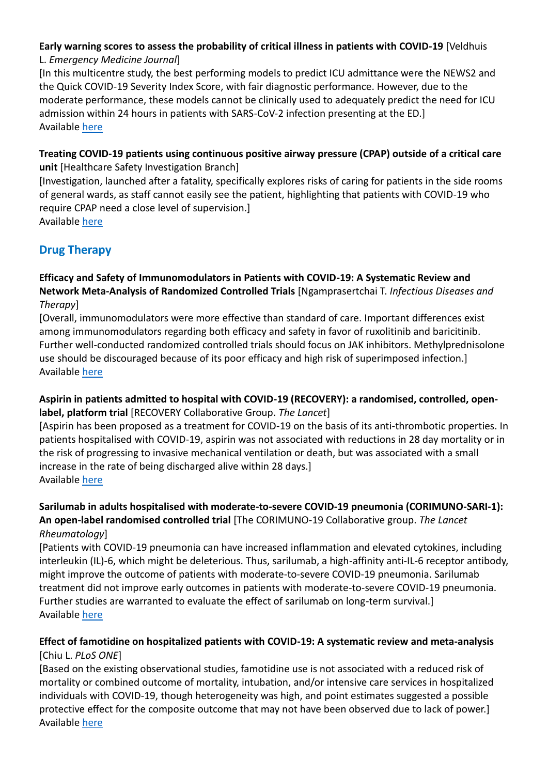# **Early warning scores to assess the probability of critical illness in patients with COVID-19** [Veldhuis

### L. *Emergency Medicine Journal*]

[In this multicentre study, the best performing models to predict ICU admittance were the NEWS2 and the Quick COVID-19 Severity Index Score, with fair diagnostic performance. However, due to the moderate performance, these models cannot be clinically used to adequately predict the need for ICU admission within 24 hours in patients with SARS-CoV-2 infection presenting at the ED.] Available [here](https://emj.bmj.com/content/38/12/901)

#### **Treating COVID-19 patients using continuous positive airway pressure (CPAP) outside of a critical care unit** [Healthcare Safety Investigation Branch]

[Investigation, launched after a fatality, specifically explores risks of caring for patients in the side rooms of general wards, as staff cannot easily see the patient, highlighting that patients with COVID-19 who require CPAP need a close level of supervision.] Available [here](https://www.hsib.org.uk/investigations-and-reports/treating-covid-19-patients-using-continuous-positive-airway-pressure-cpap/)

# **Drug Therapy**

### **Efficacy and Safety of Immunomodulators in Patients with COVID-19: A Systematic Review and Network Meta-Analysis of Randomized Controlled Trials** [Ngamprasertchai T. *Infectious Diseases and Therapy*]

[Overall, immunomodulators were more effective than standard of care. Important differences exist among immunomodulators regarding both efficacy and safety in favor of ruxolitinib and baricitinib. Further well-conducted randomized controlled trials should focus on JAK inhibitors. Methylprednisolone use should be discouraged because of its poor efficacy and high risk of superimposed infection.] Available [here](https://link.springer.com/article/10.1007/s40121-021-00545-0)

# **Aspirin in patients admitted to hospital with COVID-19 (RECOVERY): a randomised, controlled, open-**

**label, platform trial** [RECOVERY Collaborative Group. *The Lancet*]

[Aspirin has been proposed as a treatment for COVID-19 on the basis of its anti-thrombotic properties. In patients hospitalised with COVID-19, aspirin was not associated with reductions in 28 day mortality or in the risk of progressing to invasive mechanical ventilation or death, but was associated with a small increase in the rate of being discharged alive within 28 days.] Available [here](https://www.thelancet.com/journals/lancet/article/PIIS0140-6736(21)01825-0/fulltext)

### **Sarilumab in adults hospitalised with moderate-to-severe COVID-19 pneumonia (CORIMUNO-SARI-1): An open-label randomised controlled trial** [The CORIMUNO-19 Collaborative group. *The Lancet Rheumatology*]

[Patients with COVID-19 pneumonia can have increased inflammation and elevated cytokines, including interleukin (IL)-6, which might be deleterious. Thus, sarilumab, a high-affinity anti-IL-6 receptor antibody, might improve the outcome of patients with moderate-to-severe COVID-19 pneumonia. Sarilumab treatment did not improve early outcomes in patients with moderate-to-severe COVID-19 pneumonia. Further studies are warranted to evaluate the effect of sarilumab on long-term survival.] Available [here](https://www.thelancet.com/journals/lanrhe/article/PIIS2665-9913(21)00315-5/fulltext)

# **Effect of famotidine on hospitalized patients with COVID-19: A systematic review and meta-analysis** [Chiu L. *PLoS ONE*]

[Based on the existing observational studies, famotidine use is not associated with a reduced risk of mortality or combined outcome of mortality, intubation, and/or intensive care services in hospitalized individuals with COVID-19, though heterogeneity was high, and point estimates suggested a possible protective effect for the composite outcome that may not have been observed due to lack of power.] Available [here](https://journals.plos.org/plosone/article?id=10.1371/journal.pone.0259514)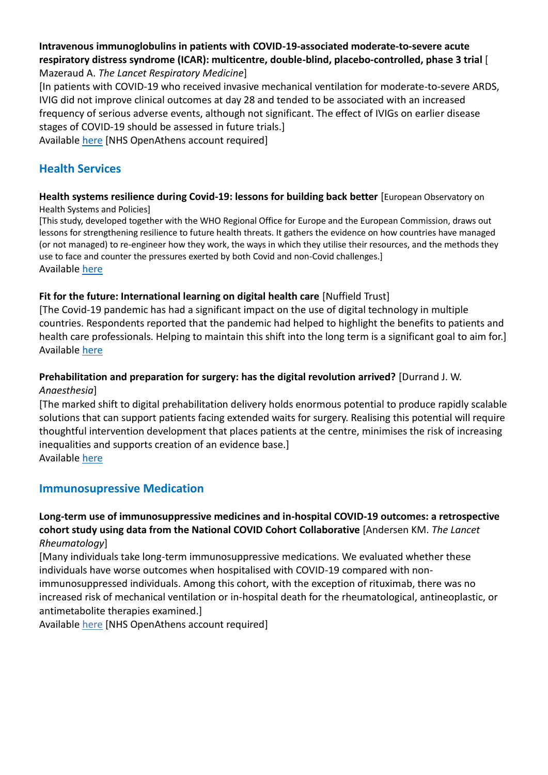#### **Intravenous immunoglobulins in patients with COVID-19-associated moderate-to-severe acute respiratory distress syndrome (ICAR): multicentre, double-blind, placebo-controlled, phase 3 trial** [ Mazeraud A. *The Lancet Respiratory Medicine*]

[In patients with COVID-19 who received invasive mechanical ventilation for moderate-to-severe ARDS, IVIG did not improve clinical outcomes at day 28 and tended to be associated with an increased frequency of serious adverse events, although not significant. The effect of IVIGs on earlier disease stages of COVID-19 should be assessed in future trials.]

Available [here](https://www.thelancet.com/pdfs/journals/lanres/PIIS2213-2600(21)00440-9.pdf) [NHS OpenAthens account required]

# **Health Services**

#### **Health systems resilience during Covid-19: lessons for building back better** [European Observatory on Health Systems and Policies]

[This study, developed together with the WHO Regional Office for Europe and the European Commission, draws out lessons for strengthening resilience to future health threats. It gathers the evidence on how countries have managed (or not managed) to re-engineer how they work, the ways in which they utilise their resources, and the methods they use to face and counter the pressures exerted by both Covid and non-Covid challenges.] Available [here](https://eurohealthobservatory.who.int/publications/i/health-systems-resilience-during-covid-19-lessons-for-building-back-better)

### **Fit for the future: International learning on digital health care** [Nuffield Trust]

[The Covid-19 pandemic has had a significant impact on the use of digital technology in multiple countries. Respondents reported that the pandemic had helped to highlight the benefits to patients and health care professionals. Helping to maintain this shift into the long term is a significant goal to aim for.] Available [here](https://www.nuffieldtrust.org.uk/research/fit-for-the-future-what-can-the-nhs-learn-about-digital-health-care-from-other-european-countries)

### **Prehabilitation and preparation for surgery: has the digital revolution arrived?** [Durran[d J. W.](https://associationofanaesthetists-publications.onlinelibrary.wiley.com/action/doSearch?ContribAuthorRaw=Durrand%2C+J+W)

*Anaesthesia*]

[The marked shift to digital prehabilitation delivery holds enormous potential to produce rapidly scalable solutions that can support patients facing extended waits for surgery. Realising this potential will require thoughtful intervention development that places patients at the centre, minimises the risk of increasing inequalities and supports creation of an evidence base.]

Available [here](https://associationofanaesthetists-publications.onlinelibrary.wiley.com/doi/full/10.1111/anae.15622)

### **Immunosupressive Medication**

### **Long-term use of immunosuppressive medicines and in-hospital COVID-19 outcomes: a retrospective cohort study using data from the National COVID Cohort Collaborative** [Andersen KM. *The Lancet Rheumatology*]

[Many individuals take long-term immunosuppressive medications. We evaluated whether these individuals have worse outcomes when hospitalised with COVID-19 compared with nonimmunosuppressed individuals. Among this cohort, with the exception of rituximab, there was no increased risk of mechanical ventilation or in-hospital death for the rheumatological, antineoplastic, or antimetabolite therapies examined.]

Available [here](https://www.thelancet.com/journals/lanrhe/article/PIIS2665-9913(21)00325-8/fulltext) [NHS OpenAthens account required]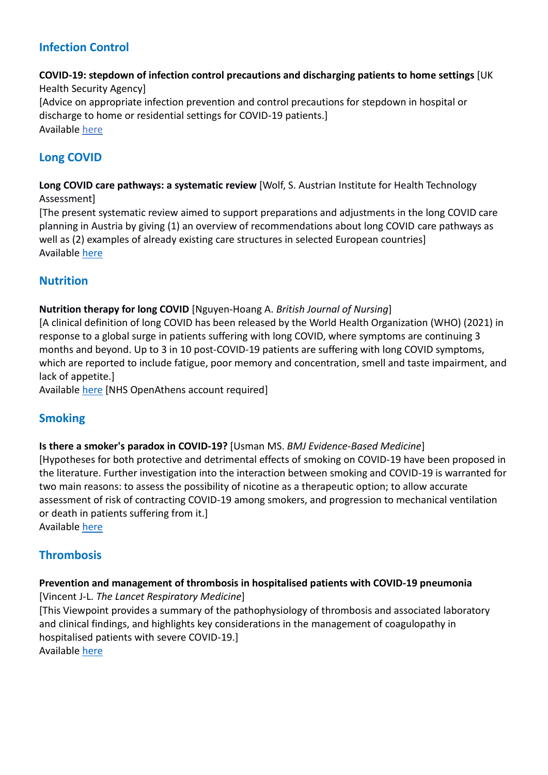# **Infection Control**

# **COVID-19: stepdown of infection control precautions and discharging patients to home settings** [UK

Health Security Agency] [Advice on appropriate infection prevention and control precautions for stepdown in hospital or discharge to home or residential settings for COVID-19 patients.] Available [here](https://www.gov.uk/government/publications/covid-19-guidance-for-stepdown-of-infection-control-precautions-within-hospitals-and-discharging-covid-19-patients-from-hospital-to-home-settings/)

# **Long COVID**

**Long COVID care pathways: a systematic review** [Wolf, S. Austrian Institute for Health Technology Assessment]

[The present systematic review aimed to support preparations and adjustments in the long COVID care planning in Austria by giving (1) an overview of recommendations about long COVID care pathways as well as (2) examples of already existing care structures in selected European countries] Available [here](https://eprints.aihta.at/1342/)

# **Nutrition**

### **Nutrition therapy for long COVID** [Nguyen-Hoang A. *British Journal of Nursing*]

[A clinical definition of long COVID has been released by the World Health Organization (WHO) (2021) in response to a global surge in patients suffering with long COVID, where symptoms are continuing 3 months and beyond. Up to 3 in 10 post-COVID-19 patients are suffering with long COVID symptoms, which are reported to include fatigue, poor memory and concentration, smell and taste impairment, and lack of appetite.]

Available [here](https://search.ebscohost.com/login.aspx?direct=true&db=rzh&AN=153812021&authtype=athens&site=ehost-live&custid=ns221502) [NHS OpenAthens account required]

# **Smoking**

#### **Is there a smoker's paradox in COVID-19?** [Usman MS. *BMJ Evidence-Based Medicine*]

[Hypotheses for both protective and detrimental effects of smoking on COVID-19 have been proposed in the literature. Further investigation into the interaction between smoking and COVID-19 is warranted for two main reasons: to assess the possibility of nicotine as a therapeutic option; to allow accurate assessment of risk of contracting COVID-19 among smokers, and progression to mechanical ventilation or death in patients suffering from it.]

Available [here](https://ebm.bmj.com/content/26/6/279)

# **Thrombosis**

#### **Prevention and management of thrombosis in hospitalised patients with COVID-19 pneumonia**  [Vincent J-L. *The Lancet Respiratory Medicine*]

[This Viewpoint provides a summary of the pathophysiology of thrombosis and associated laboratory and clinical findings, and highlights key considerations in the management of coagulopathy in hospitalised patients with severe COVID-19.] Available [here](https://www.thelancet.com/journals/lanres/article/PIIS2213-2600(21)00455-0/fulltext)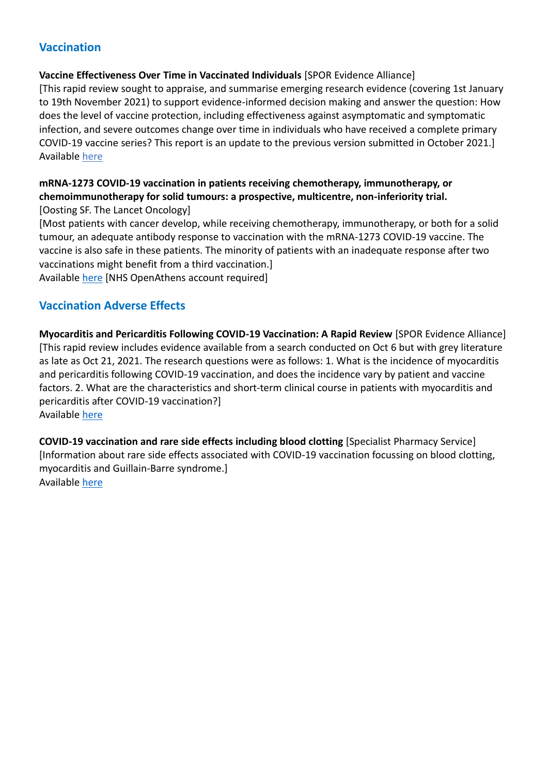# **Vaccination**

#### **Vaccine Effectiveness Over Time in Vaccinated Individuals** [SPOR Evidence Alliance]

[This rapid review sought to appraise, and summarise emerging research evidence (covering 1st January to 19th November 2021) to support evidence-informed decision making and answer the question: How does the level of vaccine protection, including effectiveness against asymptomatic and symptomatic infection, and severe outcomes change over time in individuals who have received a complete primary COVID-19 vaccine series? This report is an update to the previous version submitted in October 2021.] Available [here](https://sporevidencealliance.ca/wp-content/uploads/2021/11/Waning-Vaccine-Effectiveness_Update-1-Report_2021.11.26.pdf)

# **mRNA-1273 COVID-19 vaccination in patients receiving chemotherapy, immunotherapy, or chemoimmunotherapy for solid tumours: a prospective, multicentre, non-inferiority trial.**

[Oosting SF. The Lancet Oncology]

[Most patients with cancer develop, while receiving chemotherapy, immunotherapy, or both for a solid tumour, an adequate antibody response to vaccination with the mRNA-1273 COVID-19 vaccine. The vaccine is also safe in these patients. The minority of patients with an inadequate response after two vaccinations might benefit from a third vaccination.] Available [here](https://www.thelancet.com/journals/lanonc/article/PIIS1470-2045(21)00574-X/fulltext) [NHS OpenAthens account required]

## **Vaccination Adverse Effects**

**Myocarditis and Pericarditis Following COVID-19 Vaccination: A Rapid Review** [SPOR Evidence Alliance] [This rapid review includes evidence available from a search conducted on Oct 6 but with grey literature as late as Oct 21, 2021. The research questions were as follows: 1. What is the incidence of myocarditis and pericarditis following COVID-19 vaccination, and does the incidence vary by patient and vaccine factors. 2. What are the characteristics and short-term clinical course in patients with myocarditis and pericarditis after COVID-19 vaccination?] Available [here](https://sporevidencealliance.ca/wp-content/uploads/2021/11/SPOREA-COVIDEND_Myo-and-Pericarditis-after-Covid-19-Vaccines-Final-11132021.pdf)

**COVID-19 vaccination and rare side effects including blood clotting** [Specialist Pharmacy Service] [Information about rare side effects associated with COVID-19 vaccination focussing on blood clotting, myocarditis and Guillain-Barre syndrome.] Available [here](https://www.sps.nhs.uk/articles/covid-19-vaccination-and-rare-side-effects-including-blood-clotting/)